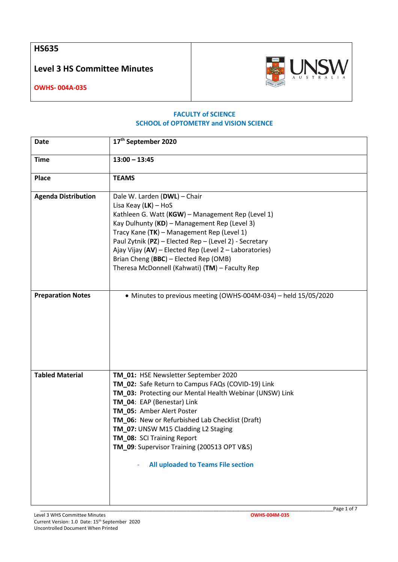**HS635**

**Level 3 HS Committee Minutes**



**OWHS- 004A-035**

## **FACULTY of SCIENCE SCHOOL of OPTOMETRY and VISION SCIENCE**

| Date                       | 17 <sup>th</sup> September 2020                                                                                                                                                                                                                                                                                                                                                                                              |
|----------------------------|------------------------------------------------------------------------------------------------------------------------------------------------------------------------------------------------------------------------------------------------------------------------------------------------------------------------------------------------------------------------------------------------------------------------------|
| <b>Time</b>                | $13:00 - 13:45$                                                                                                                                                                                                                                                                                                                                                                                                              |
| <b>Place</b>               | <b>TEAMS</b>                                                                                                                                                                                                                                                                                                                                                                                                                 |
| <b>Agenda Distribution</b> | Dale W. Larden (DWL) - Chair<br>Lisa Keay $(LK)$ – HoS<br>Kathleen G. Watt (KGW) - Management Rep (Level 1)<br>Kay Dulhunty (KD) - Management Rep (Level 3)<br>Tracy Kane (TK) - Management Rep (Level 1)<br>Paul Zytnik (PZ) - Elected Rep - (Level 2) - Secretary<br>Ajay Vijay (AV) - Elected Rep (Level 2 - Laboratories)<br>Brian Cheng (BBC) - Elected Rep (OMB)<br>Theresa McDonnell (Kahwati) (TM) - Faculty Rep     |
| <b>Preparation Notes</b>   | • Minutes to previous meeting (OWHS-004M-034) - held 15/05/2020                                                                                                                                                                                                                                                                                                                                                              |
| <b>Tabled Material</b>     | TM_01: HSE Newsletter September 2020<br>TM_02: Safe Return to Campus FAQs (COVID-19) Link<br>TM_03: Protecting our Mental Health Webinar (UNSW) Link<br>TM_04: EAP (Benestar) Link<br>TM_05: Amber Alert Poster<br>TM_06: New or Refurbished Lab Checklist (Draft)<br>TM_07: UNSW M15 Cladding L2 Staging<br>TM_08: SCI Training Report<br>TM_09: Supervisor Training (200513 OPT V&S)<br>All uploaded to Teams File section |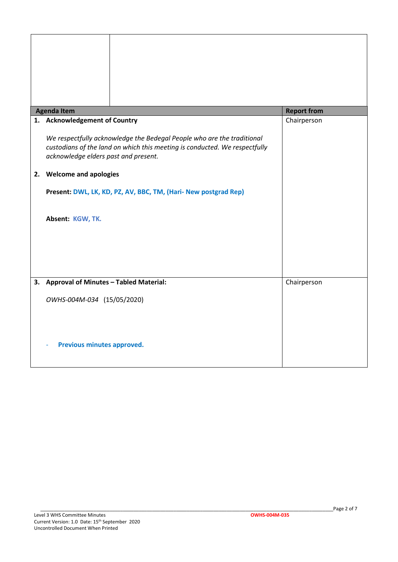| <b>Agenda Item</b>                                                                                                                                                                           | <b>Report from</b> |
|----------------------------------------------------------------------------------------------------------------------------------------------------------------------------------------------|--------------------|
| 1. Acknowledgement of Country                                                                                                                                                                | Chairperson        |
| We respectfully acknowledge the Bedegal People who are the traditional<br>custodians of the land on which this meeting is conducted. We respectfully<br>acknowledge elders past and present. |                    |
| 2. Welcome and apologies                                                                                                                                                                     |                    |
| Present: DWL, LK, KD, PZ, AV, BBC, TM, (Hari- New postgrad Rep)                                                                                                                              |                    |
| Absent: KGW, TK.                                                                                                                                                                             |                    |
|                                                                                                                                                                                              |                    |
|                                                                                                                                                                                              |                    |
|                                                                                                                                                                                              |                    |
| 3. Approval of Minutes - Tabled Material:                                                                                                                                                    | Chairperson        |
| OWHS-004M-034 (15/05/2020)                                                                                                                                                                   |                    |
|                                                                                                                                                                                              |                    |
|                                                                                                                                                                                              |                    |
| Previous minutes approved.                                                                                                                                                                   |                    |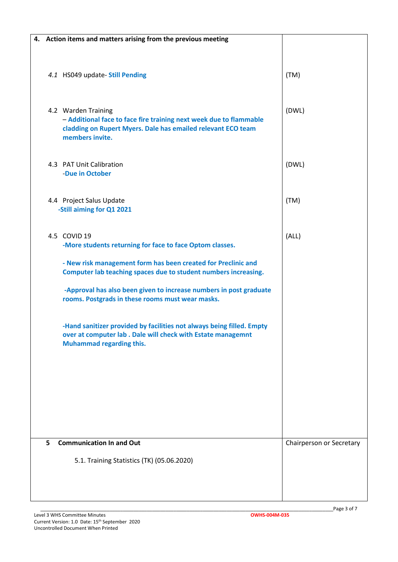| 4. Action items and matters arising from the previous meeting |                                                                                                                                       |                          |
|---------------------------------------------------------------|---------------------------------------------------------------------------------------------------------------------------------------|--------------------------|
| 4.1 HS049 update- Still Pending                               |                                                                                                                                       | (TM)                     |
|                                                               |                                                                                                                                       |                          |
| 4.2 Warden Training<br>members invite.                        | - Additional face to face fire training next week due to flammable<br>cladding on Rupert Myers. Dale has emailed relevant ECO team    | (DWL)                    |
| 4.3 PAT Unit Calibration<br>-Due in October                   |                                                                                                                                       | (DWL)                    |
| 4.4 Project Salus Update<br>-Still aiming for Q1 2021         |                                                                                                                                       | (TM)                     |
| 4.5 COVID 19                                                  | -More students returning for face to face Optom classes.                                                                              | (ALL)                    |
|                                                               | - New risk management form has been created for Preclinic and<br>Computer lab teaching spaces due to student numbers increasing.      |                          |
|                                                               | -Approval has also been given to increase numbers in post graduate<br>rooms. Postgrads in these rooms must wear masks.                |                          |
| <b>Muhammad regarding this.</b>                               | -Hand sanitizer provided by facilities not always being filled. Empty<br>over at computer lab . Dale will check with Estate managemnt |                          |
|                                                               |                                                                                                                                       |                          |
| <b>Communication In and Out</b><br>5                          |                                                                                                                                       | Chairperson or Secretary |
| 5.1. Training Statistics (TK) (05.06.2020)                    |                                                                                                                                       |                          |
|                                                               |                                                                                                                                       |                          |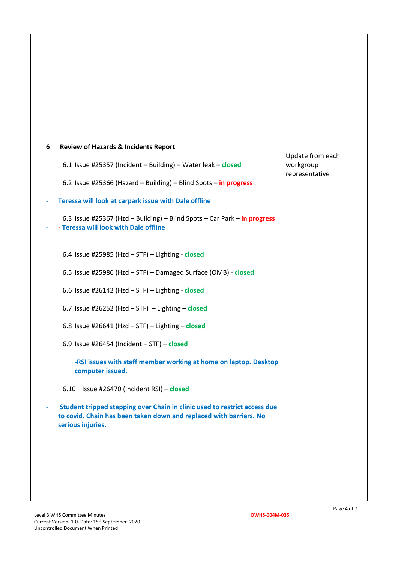| 6 | <b>Review of Hazards &amp; Incidents Report</b>                                                                                                                      | Update from each |
|---|----------------------------------------------------------------------------------------------------------------------------------------------------------------------|------------------|
|   | 6.1 Issue #25357 (Incident - Building) - Water leak - closed                                                                                                         | workgroup        |
|   | 6.2 Issue #25366 (Hazard - Building) - Blind Spots - in progress                                                                                                     | representative   |
|   | Teressa will look at carpark issue with Dale offline                                                                                                                 |                  |
|   | 6.3 Issue #25367 (Hzd - Building) - Blind Spots - Car Park - in progress<br>- Teressa will look with Dale offline                                                    |                  |
|   | 6.4 Issue #25985 (Hzd - STF) - Lighting - closed                                                                                                                     |                  |
|   | 6.5 Issue #25986 (Hzd - STF) - Damaged Surface (OMB) - closed                                                                                                        |                  |
|   | 6.6 Issue #26142 (Hzd - STF) - Lighting - closed                                                                                                                     |                  |
|   | 6.7 Issue #26252 (Hzd - STF) - Lighting - closed                                                                                                                     |                  |
|   | 6.8 Issue #26641 (Hzd - STF) - Lighting - closed                                                                                                                     |                  |
|   | 6.9 Issue #26454 (Incident $-$ STF) $-$ closed                                                                                                                       |                  |
|   | -RSI issues with staff member working at home on laptop. Desktop<br>computer issued.                                                                                 |                  |
|   | 6.10 Issue #26470 (Incident RSI) - closed                                                                                                                            |                  |
|   | Student tripped stepping over Chain in clinic used to restrict access due<br>to covid. Chain has been taken down and replaced with barriers. No<br>serious injuries. |                  |
|   |                                                                                                                                                                      |                  |
|   |                                                                                                                                                                      |                  |
|   |                                                                                                                                                                      |                  |
|   |                                                                                                                                                                      |                  |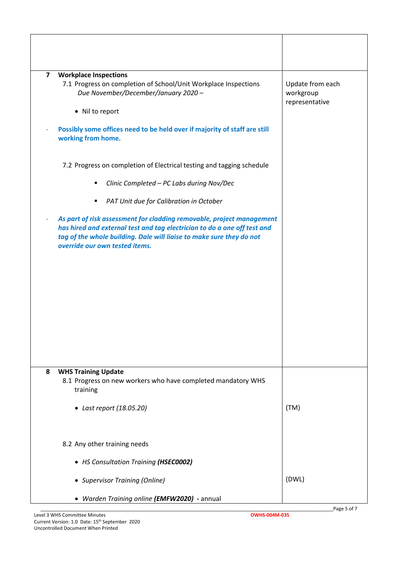| $\overline{\mathbf{z}}$<br><b>Workplace Inspections</b><br>7.1 Progress on completion of School/Unit Workplace Inspections<br>Due November/December/January 2020 -<br>• Nil to report                                                                                                                       | Update from each<br>workgroup<br>representative |
|-------------------------------------------------------------------------------------------------------------------------------------------------------------------------------------------------------------------------------------------------------------------------------------------------------------|-------------------------------------------------|
| Possibly some offices need to be held over if majority of staff are still<br>working from home.                                                                                                                                                                                                             |                                                 |
| 7.2 Progress on completion of Electrical testing and tagging schedule<br>Clinic Completed - PC Labs during Nov/Dec<br>٠                                                                                                                                                                                     |                                                 |
| PAT Unit due for Calibration in October<br>٠<br>As part of risk assessment for cladding removable, project management<br>has hired and external test and tag electrician to do a one off test and<br>tag of the whole building. Dale will liaise to make sure they do not<br>override our own tested items. |                                                 |
| 8<br><b>WHS Training Update</b><br>8.1 Progress on new workers who have completed mandatory WHS<br>training<br>• Last report (18.05.20)                                                                                                                                                                     | (TM)                                            |
| 8.2 Any other training needs<br>• HS Consultation Training (HSEC0002)<br>• Supervisor Training (Online)                                                                                                                                                                                                     | (DWL)                                           |
| • Warden Training online (EMFW2020) - annual                                                                                                                                                                                                                                                                |                                                 |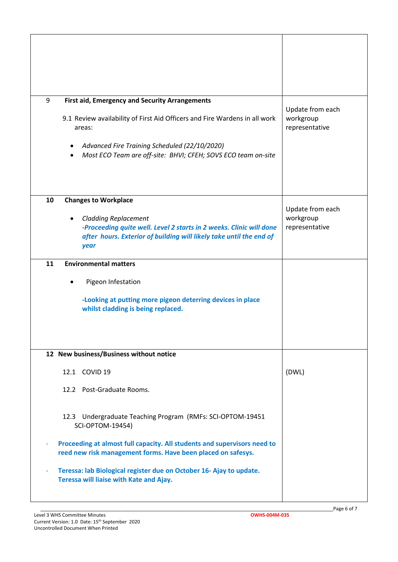| 9<br><b>First aid, Emergency and Security Arrangements</b><br>9.1 Review availability of First Aid Officers and Fire Wardens in all work<br>areas:                                                                     | Update from each<br>workgroup<br>representative |
|------------------------------------------------------------------------------------------------------------------------------------------------------------------------------------------------------------------------|-------------------------------------------------|
| Advanced Fire Training Scheduled (22/10/2020)<br>$\bullet$<br>Most ECO Team are off-site: BHVI; CFEH; SOVS ECO team on-site<br>$\bullet$                                                                               |                                                 |
| 10<br><b>Changes to Workplace</b><br><b>Cladding Replacement</b><br>-Proceeding quite well. Level 2 starts in 2 weeks. Clinic will done<br>after hours. Exterior of building will likely take until the end of<br>year | Update from each<br>workgroup<br>representative |
| <b>Environmental matters</b><br>11                                                                                                                                                                                     |                                                 |
| Pigeon Infestation                                                                                                                                                                                                     |                                                 |
| -Looking at putting more pigeon deterring devices in place<br>whilst cladding is being replaced.                                                                                                                       |                                                 |
| 12 New business/Business without notice                                                                                                                                                                                |                                                 |
| 12.1 COVID 19                                                                                                                                                                                                          | (DWL)                                           |
| 12.2 Post-Graduate Rooms.                                                                                                                                                                                              |                                                 |
| 12.3 Undergraduate Teaching Program (RMFs: SCI-OPTOM-19451<br><b>SCI-OPTOM-19454)</b>                                                                                                                                  |                                                 |
| Proceeding at almost full capacity. All students and supervisors need to<br>reed new risk management forms. Have been placed on safesys.                                                                               |                                                 |
| Teressa: lab Biological register due on October 16- Ajay to update.<br>Teressa will liaise with Kate and Ajay.                                                                                                         |                                                 |